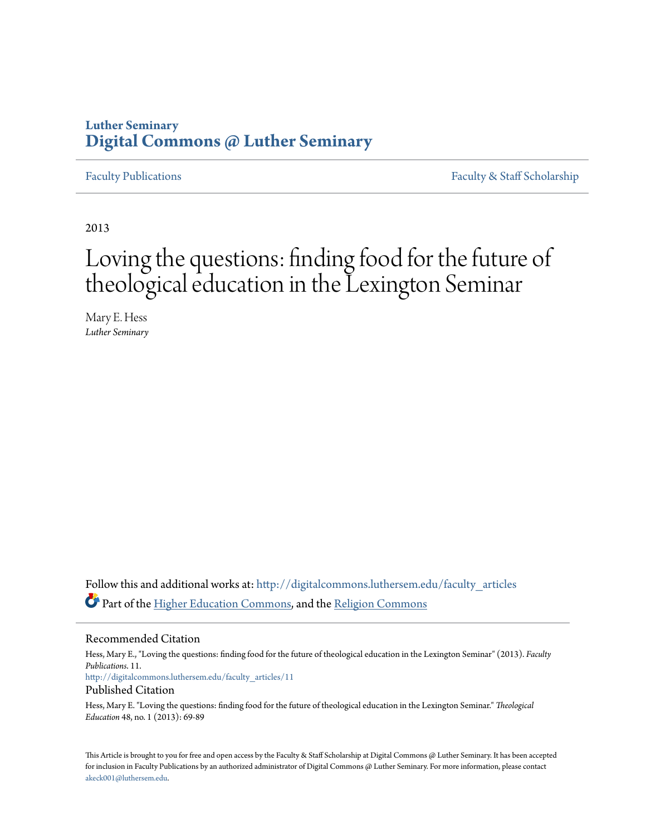## **Luther Seminary [Digital Commons @ Luther Seminary](http://digitalcommons.luthersem.edu?utm_source=digitalcommons.luthersem.edu%2Ffaculty_articles%2F11&utm_medium=PDF&utm_campaign=PDFCoverPages)**

[Faculty Publications](http://digitalcommons.luthersem.edu/faculty_articles?utm_source=digitalcommons.luthersem.edu%2Ffaculty_articles%2F11&utm_medium=PDF&utm_campaign=PDFCoverPages) [Faculty & Staff Scholarship](http://digitalcommons.luthersem.edu/faculty_staff?utm_source=digitalcommons.luthersem.edu%2Ffaculty_articles%2F11&utm_medium=PDF&utm_campaign=PDFCoverPages)

2013

# Loving the questions: finding food for the future of theological education in the Lexington Seminar

Mary E. Hess *Luther Seminary*

Follow this and additional works at: [http://digitalcommons.luthersem.edu/faculty\\_articles](http://digitalcommons.luthersem.edu/faculty_articles?utm_source=digitalcommons.luthersem.edu%2Ffaculty_articles%2F11&utm_medium=PDF&utm_campaign=PDFCoverPages) Part of the [Higher Education Commons](http://network.bepress.com/hgg/discipline/1245?utm_source=digitalcommons.luthersem.edu%2Ffaculty_articles%2F11&utm_medium=PDF&utm_campaign=PDFCoverPages), and the [Religion Commons](http://network.bepress.com/hgg/discipline/538?utm_source=digitalcommons.luthersem.edu%2Ffaculty_articles%2F11&utm_medium=PDF&utm_campaign=PDFCoverPages)

#### Recommended Citation

Hess, Mary E., "Loving the questions: finding food for the future of theological education in the Lexington Seminar" (2013). *Faculty Publications*. 11. [http://digitalcommons.luthersem.edu/faculty\\_articles/11](http://digitalcommons.luthersem.edu/faculty_articles/11?utm_source=digitalcommons.luthersem.edu%2Ffaculty_articles%2F11&utm_medium=PDF&utm_campaign=PDFCoverPages) Published Citation

Hess, Mary E. "Loving the questions: finding food for the future of theological education in the Lexington Seminar." *Theological Education* 48, no. 1 (2013): 69-89

This Article is brought to you for free and open access by the Faculty & Staff Scholarship at Digital Commons @ Luther Seminary. It has been accepted for inclusion in Faculty Publications by an authorized administrator of Digital Commons @ Luther Seminary. For more information, please contact [akeck001@luthersem.edu.](mailto:akeck001@luthersem.edu)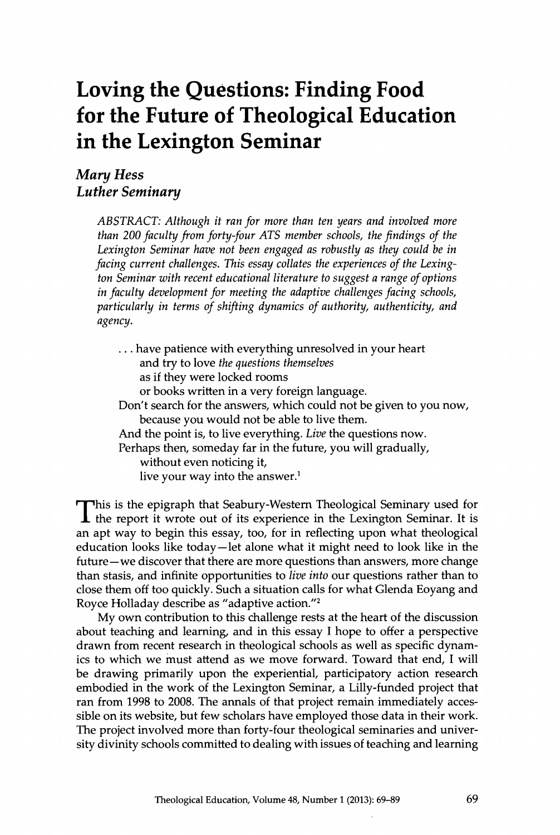# **Loving the Questions: Finding Food for the Future of Theologieal Education in the Lexington Seminar**

### **Mary Hess** *Luther Seminary*

*ABSTRACT: Although it ran for more than ten years and involved more than 200 faculty from forty-four ATS member schools, the findings of the Lexington Seminar have not been engaged as robustly as they could be in* facing current challenges. This essay collates the experiences of the Lexing*ton Seminar with recent educational literature* ؛ ٠*suggest a range ofoptions in faculty development for meeting the adaptive challenges facing schools, particularly in terms of shifting dynamics of authority, authenticity, and agency.*

. . . have patience with everything unresolved in your heart and try to iove *the questions themselves* as if they were locked rooms or books written in a very foreign language. Don't search for the answers, which could not be given to you now, because you would not be able to live them. And the point is, to live everything. *Live* the questions now. Perhaps then, someday far in the future, you will gradually, without even noticing it, live your way into the answer. $<sup>1</sup>$ </sup>

This is the epigraph that Seabury-Western Theological Seminary used for the report it wrote out of its experience in the Lexington Seminar. It is his is the epigraph that Seabury-Western Theological Seminary used for an apt way to begin this essay, too, for in reflecting upon what theological education looks like today—let alone what it might need to look like in the future—we discover that there are more questions than answers, more change than stasis, and infinite opportunities to *live into* our questions rather than to close them off too quickly. Such a situation calls for what Glenda Eoyang and Royce Holladay describe as "adaptive action."<sup>2</sup>

My own contribution to this challenge rests at the heart of the discussion about teaching and learning, and in this essay 1 hope to offer a perspective drawn from recent research in theological schools as well as specific dynamics to which we must attend as we move forward. Toward that end, 1 will be drawing primarily upon the experiential, participatory action research embodied in the work of the Lexington Seminar, a Lilly-funded project that ran from 1998 to 2008. The annals of that project remain immediately accessible on its website, but few scholars have employed those data in their work. The project involved more than forty-four theological seminaries and university divinity schools committed to dealing with issues of teaching and learning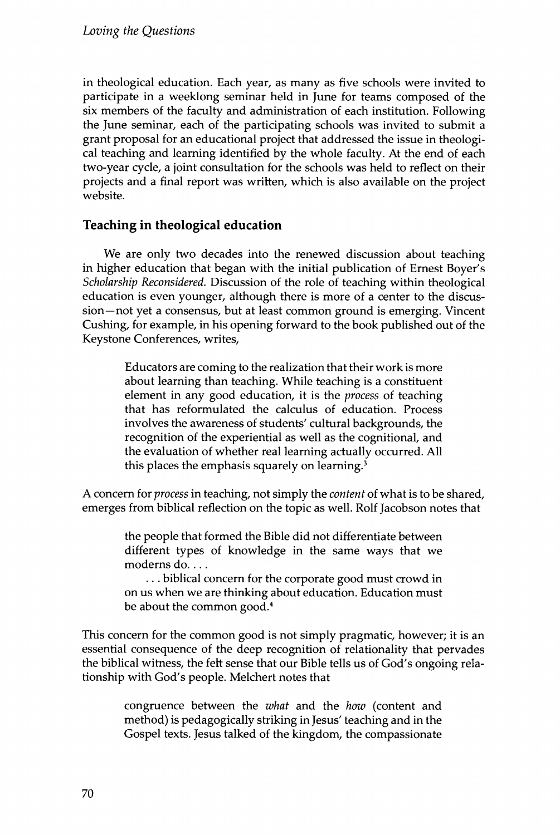in theological education. Each year, as many as five schools were invited to participate in a weeklong seminar held in June for teams composed of the six members of the faculty and administration of each institution. Following the June seminar, each of the participating schools was invited to submit a grant proposal for an educational project that addressed the issue in theological teaching and learning identified by the whole faculty. At the end of each two-year cycle, a joint consultation for the schools was held to reflect on their projects and a final report was written, which is also available on the project website.

#### **Teaching in theoingical education**

We are only two decades into the renewed discussion about teaching in higher education that began with the initial publication of Ernest Boyer's *Scholarship Reconsidered.* Discussion of the role of teaching within theological education is even younger, although there is more of a center to the discussion—not yet a consensus, but at least common ground is emerging. Vincent Cushing, for example, in his opening forward to the book published out of the Keystone Conferences, writes,

> Educators are coming to the realization that their work is more about learning than teaching. While teaching is a constituent element in any good education, it is the *process* of teaching that has reformulated the calculus of education. Process involves the awareness of students' cultural backgrounds, the recognition of the experiential as well as the cognitional, and the evaluation of whether real learning actually occurred. All this places the emphasis squarely on learning. $3$

A concern for *process* in teaching, not simply the *content* of what is to be shared, emerges from biblical reflection on the topic as well. Rolf Jacobson notes that

> the people that formed the Bible did not differentiate between different types of knowledge in the same ways that we moderns do....

> ... biblical concern for the corporate good must crowd in on us when we are thinking about education. Education must be about the common good.<sup>4</sup>

This concern for the common good is not simply pragmatic, however; it is an essential consequence of the deep recognition of relationality that pervades the biblical witness, the fett sense that our Bible tells us of God's ongoing relationship with God's people. Melchert notes that

> congruence between the *what* and the *how* (content and method) is pedagogically striking in Jesus' teaching and in the Gospel texts. Jesus talked of the kingdom, the compassionate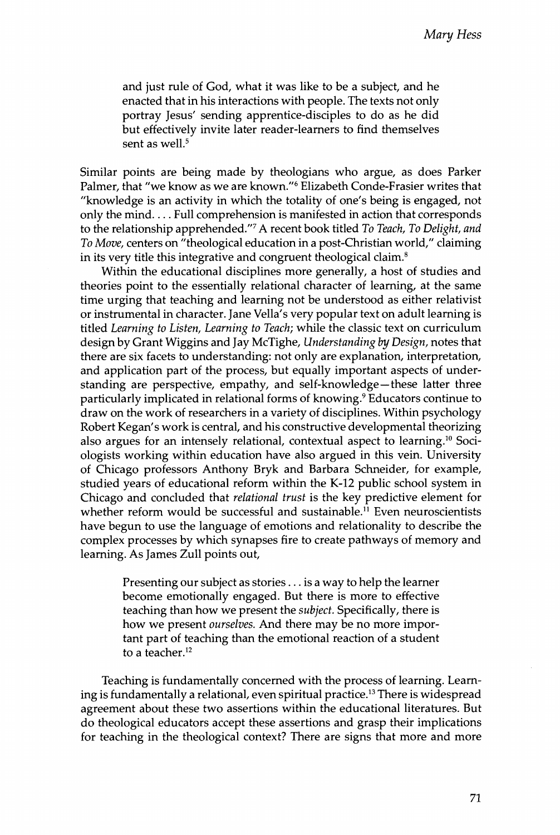and just rule of God, what it was like to be a subject, and he enacted that in his interactions with people. The texts not only portray Jesus' sending apprentice-disciples to do as he did but effectively invite later reader-learners to find themselves sent as well. $5$ 

Similar points are being made by theologians who argue, as does Parker Palmer, that "we know as we are known."6 Elizabeth Conde-Erasier writes that "knowledge is an activity in which the totality of one's being is engaged, not only the mind.... Pull comprehension is manifested in action that corresponds to the relationship apprehended."^ A recent book titled *To Teach, To Delight, and To Move,* centers on "theological education in a post-Christian world," claiming in its very title this integrative and congruent theological claim.®

Within the educational disciplines more generally, a host of studies and theories point to the essentially relational character of learning, at the same time urging that teaching and learning not be understood as either relativist or instrumental in character. Jane Vella's very popular text on adult learning is titled *Learning to Listen, Learning to Teach;* while the classic text on curriculum design by Grant Wiggins and Jay McTighe, *Understanding by Design,* notes that there are six facets to understanding: not only are explanation, interpretation, and application part of the process, but equally important aspects of understanding are perspective, empathy, and self-knowledge—these latter three particularly implicated in relational forms of knowing.؟ Educators continue to draw on the work of researchers in a variety of disciplines. Within psychology Robert Kegan's work is central, and his constructive developmental theorizing also argues for an intensely relational, contextual aspect to learning.<sup>10</sup> Sociologists working within education have also argued in this vein. University of Chicago professors Anthony Bryk and Barbara Schneider, for example, studied years of educational reform within the K-12 public school system in Chicago and concluded that *relational trust* is the key predictive element for whether reform would be successful and sustainable.<sup>11</sup> Even neuroscientists have begun to use the language of emotions and relationality to describe the complex processes by which synapses fire to create pathways of memory and learning. As James Zull points out.

> Presenting our subject as stories . . . is a way to help the learner become emotionally engaged. But there is more to effective teaching than how we present the *subject.* Specifically, there is how we present *ourselves.* And there may be no more important part of teaching than the emotional reaction of a student to a teacher.<sup>12</sup>

Teaching is fundamentally concerned with the process of learning. Learning is fundamentally a relational, even spiritual practice.<sup>13</sup> There is widespread agreement about these two assertions within the educational literatures. But do theological educators accept these assertions and grasp their implications for teaching in the theological context? There are signs that more and more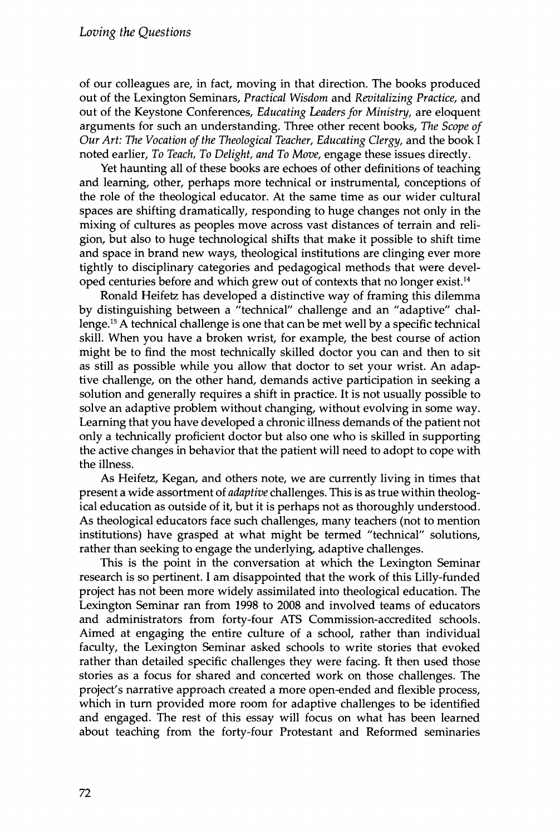of our colleagues are, in fact, moving in that direction. The books produced out of the Lexington Seminars, *Practical Wisdom* and *Revitalizing Practice,* and out of the Keystone Conferences, *Educating Leaders for Ministry,* are eloquent arguments for such an understanding. Three other recent books. *The Scope of Our Art: The Vocation of the Theological Teacher, Educating Clergy, and the book I* noted earlier, *To Teach, To Delight, and To Move,* engage these issues directly.

Yet haunting all of these books are echoes of other definitions of teaching and learning, other, perhaps more technical or instrumental, conceptions of the role of the theological educator. At the same time as our wider cultural spaces are shifting dramatically, responding to huge changes not only in the mixing of cultures as peoples move across vast distances of terrain and religion, but also to huge technological shifts that make it possible to shift time and space in brand new ways, theological institutions are clinging ever more tightly to disciplinary categories and pedagogical methods that were developed centuries before and which grew out of contexts that no longer exist.<sup>14</sup>

Ronald Heifetz has developed a distinctive way of framing this dilemma by distinguishing between a ״technical" challenge and an "adaptive" challenge.<sup>15</sup> A technical challenge is one that can be met well by a specific technical skill. When you have a broken wrist, for example, the best course of action might be to find the most technically skilled doctor you can and then to sit as still as possible while you allow that doctor to set your wrist. An adaptive challenge, on the other hand, demands active participation in seeking a solution and generally requires a shift in practice. It is not usually possible to solve an adaptive problem without changing, without evolving in some way. Learning that you have developed a chronic illness demands of the patient not only a technically proficient doctor but also one who is skilled in supporting the active changes in behavior that the patient will need to adopt to cope with the illness.

As Heifetz, Kegan, and others note, we are currently living in times that present a wide assortment of *adaptive* challenges. This is as true within theological education as outside of it, but it is perhaps not as thoroughly understood. As theological educators face such challenges, many teachers (not to mention institutions) have grasped at what might be termed "technical" solutions, rather than seeking to engage the underlying, adaptive challenges.

This is the point in the conversation at which the Lexington Seminar research is so pertinent. I am disappointed that the work of this Lilly-funded project has not been more widely assimilated into theological education. The Lexington Seminar ran from 1998 to 2008 and involved teams of educators and administrators from forty-four ATS Commission-accredited schools. Aimed at engaging the entire culture of a school, rather than individual faculty, the Lexington Seminar asked schools to write stories that evoked rather than detailed specific challenges they were facing, ft then used those stories as a focus for shared and concerted work on those challenges. The project's narrative approach created a more open-ended and flexible process, which in turn provided more room for adaptive challenges to be identified and engaged. The rest of this essay will focus on what has been learned about teaching from the forty-four Protestant and Reformed seminaries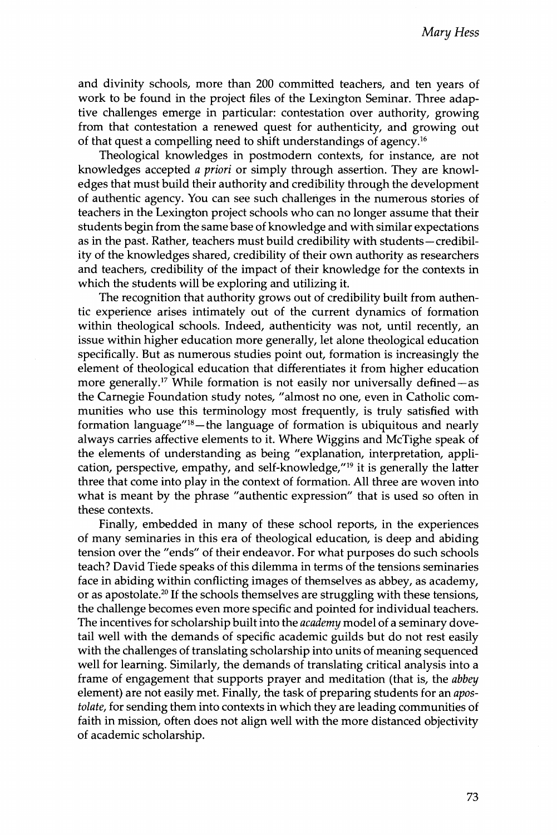and divinity schools, more than 200 committed teachers, and ten years of work to he found in the project files of the Lexington Seminar. Three adaptive challenges emerge in particular: contestation over authority, growing from that contestation a renewed quest for authenticity, and growing out of that quest a compelling need to shift understandings of agency.<sup>16</sup>

Theological knowledges in postmodern contexts, for instance, are not knowledges accepted *a priori* or simply through assertion. They are knowledges that must build their authority and credibility through the development of authentic agency. You can see such challenges in the numerous stories of teachers in the Lexington project schools who can no longer assume that their students begin from the same base of knowledge and with similar expectations as in the past. Rather, teachers must build credibility with students-credibility of the knowledges shared, credibility of their own authority as researchers and teachers, credibility of the impact of their knowledge for the contexts in which the students will be exploring and utilizing it.

The recognition that authority grows out of credibility built from authentic experience arises intimately out of the current dynamics of formation within theological schools. Indeed, authenticity was not, until recently, an issue within higher education more generally, let alone theological education specifically. But as numerous studies point out, formation is increasingly the element of theological education that differentiates it from higher education more generally.<sup>17</sup> While formation is not easily nor universally defined—as the Carnegie Foundation study notes, "almost no one, even in Catholic communities who use this terminology most frequently, is truly satisfied with formation language $^{\prime\prime}^{18}$  – the language of formation is ubiquitous and nearly always carries affective elements to it. Where Wiggins and McTighe speak of the elements of understanding as being "explanation, interpretation, application, perspective, empathy, and self-knowledge,"<sup>19</sup> it is generally the latter three that come into play in the context of formation. All three are woven into what is meant by the phrase "authentic expression" that is used so often in these contexts.

Finally, embedded in many of these school reports, in the experiences of many seminaries in this era of theological education, is deep and abiding tension over the "ends" of their endeavor. For what purposes do such schools teach? David Tiede speaks of this dilemma in terms of the tensions seminaries face in abiding within conflicting images of themselves as abbey, as academy, or as apostolate.<sup>20</sup> If the schools themselves are struggling with these tensions, the challenge becomes even more specific and pointed for individual teachers. The incentives for scholarship built into the *academy* model of a seminary dovetail well with the demands of specific academic guilds but do not rest easily with the challenges of translating scholarship into units of meaning sequenced well for learning. Similarly, the demands of translating critical analysis into a frame of engagement that supports prayer and meditation (that is, the *abbey* element) are not easily met. Finally, the task of preparing students for an *aposïolaïe,* for sending them into contexts in which they are leading communities of faith in mission, often does not align well with the more distanced objectivity of academic scholarship.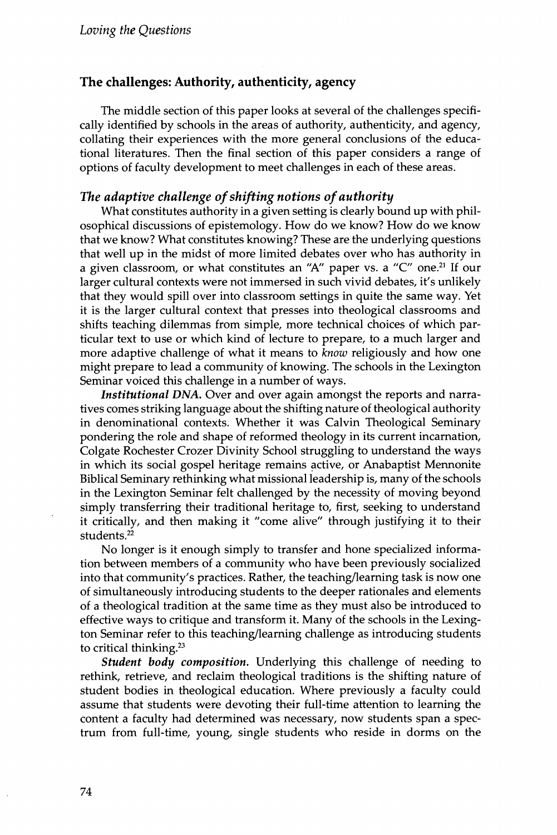#### **The challenges؛ Authority, authenticity, agency**

The middle section of this paper looks at several of the challenges specifically identified by schools in the areas of authority, authenticity, and agency, collating their experiences with the more general conclusions of the educational literatures. Then the final section of this paper considers a range of options of faculty development to meet challenges in each of these areas.

#### *The adaptive challenge of shifting notions ofauthority*

What constitutes authority in a given setting is clearly bound up with philosophical discussions of epistemology. How do we know? How do we know that we know? What constitutes knowing? These are the underlying questions that well up in the midst of more limited debates over who has authority in a given classroom, or what constitutes an "A" paper vs. a "C" one.<sup>21</sup> If our larger cultural contexts were not immersed in such vivid debates, it's unlikely that they would spill over into classroom settings in quite the same way. Yet it is the larger cultural context that presses into theological classrooms and shifts teaching dilemmas from simple, more technical choices of which particular text to use or which kind of lecture to prepare, to a much larger and more adaptive challenge of what it means to *know* religiously and how one might prepare to lead a community of knowing. The schools in the Lexington Seminar voiced this challenge in a number of ways.

Institutional DNA. Over and over again amongst the reports and narratives comes striking language about the shifting nature of theological authority in denominational contexts. Whether it was Calvin Theological Seminary pondering the role and shape of reformed theology in its current incarnation, Colgate Rochester Crozer Divinity School struggling to understand the ways in which its social gospel heritage remains active, or Anabaptist Mennonite Biblical Seminary rethinking what missional leadership is, many of the schools in the Lexington Seminar felt challenged by the necessity of moving beyond simply transferring their traditional heritage to, first, seeking to understand it critically, and then making it "come alive" through justifying it to their students.<sup>22</sup>

No longer is it enough simply to transfer and hone specialized information between members of a community who have been previously socialized into that community's practices. Rather, the teaching/learning task is now one of simultaneously introducing students to the deeper rationales and elements of a theological tradition at the same time as they must also be introduced to effective ways to critique and transform it. Many of the schools in the Lexington Seminar refer to this teaching/learning challenge as introducing students to critical thinking.23

*Student body composition***٠** Underlying this challenge of needing to rethink, retrieve, and reclaim theological traditions is the shifting nature of student bodies in theological education. Where previously a faculty could assume that students were devoting their full-time attention to learning the content a faculty had determined was necessary, now students span a spectrum from full-time, young, single students who reside in dorms on the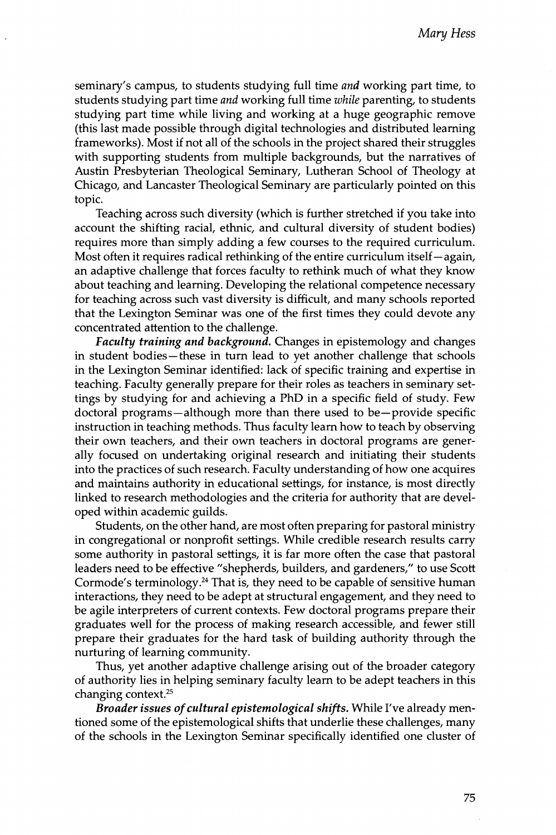seminary's campus, to students studying full time *and* working part time, to students studying part time *and* working full time *while* parenting, to students studying part time while living and working at a huge geographic remove (this last made possible through digital technologies and distributed learning frameworks). Most if not all of the schools in the project shared their struggles with supporting students from multiple backgrounds, but the narratives of Austin Presbyterian Theological Seminary, Lutheran School of Theology at Chicago, and Lancaster Theological Seminary are particularly pointed on this topic.

Teaching across such diversity (which is further stretched if you take into account the shifting racial, ethnic, and cultural diversity of student bodies) requires more than simply adding a few courses to the required curriculum. Most often it requires radical rethinking of the entire curriculum itself—again, an adaptive challenge that forces faculty to rethink much of what they know about teaching and learning. Developing the relational competence necessary for teaching across such vast diversity is difficult, and many schools reported that the Lexington Seminar was one of the tirst times they could devote any concentrated attention to the challenge.

*Faculty training and background***٠** Changes in epistemology and changes in student bodies-these in turn lead to yet another challenge that schools in the Lexington Seminar identified: lack of specific training and expertise in teaching. Faculty generally prepare for their roles as teachers in seminary settings by studying for and achieving a PhD in a specific field of study. Few doctoral programs—although more than there used to be—provide specific instruction in teaching methods. Thus faculty learn how to teach by observing their own teachers, and their own teachers in doctoral programs are generally focused on undertaking original research and initiating their students into the practices of such research. Faculty understanding of how one acquires and maintains authority in educational settings, for instance, is most directly linked to research methodologies and the criteria for authority that are developed within academic guilds.

Students, on the other hand, are most often preparing for pastoral ministry in congregational or nonprofit settings. While credible research results carry some authority in pastoral settings, it is far more often the case that pastoral leaders need to be effective "shepherds, builders, and gardeners," to use Scott Cormode's terminology.<sup>24</sup> That is, they need to be capable of sensitive human interactions, they need to be adept at structural engagement, and they need to be agile interpreters of current contexts. Few doctoral programs prepare their graduates well for the process of making research accessible, and fewer still prepare their graduates for the hard task of building authority through the nurturing of learning community.

Thus, yet another adaptive challenge arising out of the broader category of authority lies in helping seminary faculty learn to be adept teachers in this changing context.<sup>25</sup>

*Broader issues ofcultural epistemological shifts*. While I've already mem tioned some of the epistemological shifts that underlie these challenges, many of the schools in the Lexington Seminar specifically identified one cluster of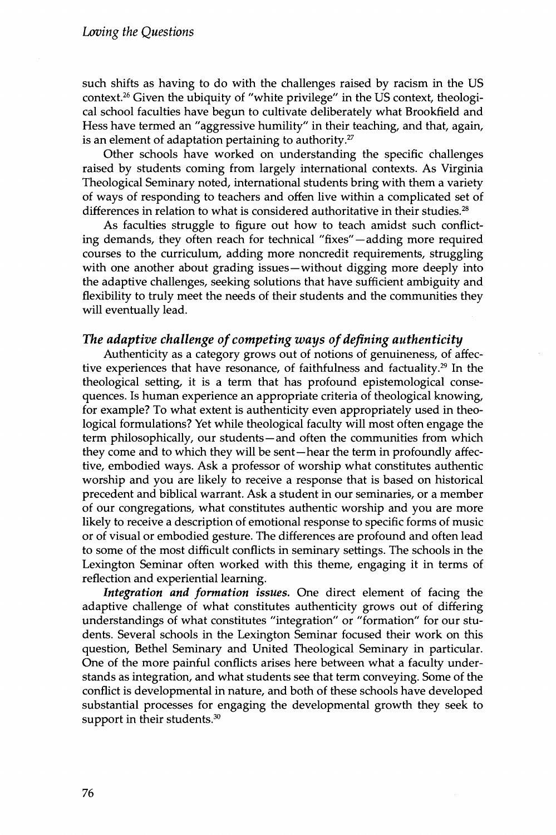such shifts as having to do with the challenges raised by racism in the US context.<sup>26</sup> Given the ubiquity of "white privilege" in the US context, theological school faculties have begun to cultivate deliberately what Brookfield and Hess have termed an "aggressive humility" in their teaching, and that, again, is an element of adaptation pertaining to authority. $27$ 

©ther schools have worked on understanding the specific challenges raised by students coming from largely international contexts. As Virginia Theological Seminary noted, international students bring with them a variety of ways of responding to teachers and often live within a complicated set of differences in relation to what is considered authoritative in their studies.<sup>28</sup>

As faculties struggle to figure out how to teach amidst such conflicting demands, they often reach for technical "fixes"—adding more required courses to the curriculum, adding more noncredit requirements, struggling with one another about grading issues—without digging more deeply into the adaptive challenges, seeking solutions that have sufficient ambiguity and flexibility to truly meet the needs of their students and the communities they will eventually lead.

#### The adaptive challenge of competing ways of defining authenticity

Authenticity as a category grows out of notions of genuineness, of affective experiences that have resonance, of faithfulness and factuality.<sup>29</sup> In the theological setting, it is a term that has profound epistemological consequences. Is human experience an appropriate criteria of theological knowing, for example? To what extent is authenticity even appropriately used in theological formulations? Yet while theological faculty will most often engage the term philosophically, our students—and often the communities from which they come and to which they will be sent—hear the term in profoundly affective, embodied ways. Ask a professor of worship what constitutes authentic worship and you are likely to receive a response that is based on historical precedent and biblical warrant. Ask a student in our seminaries, or a member of our congregations, what constitutes authentic worship and you are more likely to receive a description of emotional response to specific forms of music or of visual or embodied gesture. The differences are profound and often lead to some of the most difficult conflicts in seminary settings. The schools in the Lexington Seminar often worked with this theme, engaging it in terms of reflection and experiential learning.

*Integration and formation issues.* One direct element of facing the adaptive challenge of what constitutes authenticity grows out of differing understandings of what constitutes "integration" or "formation" for our students. Several schools in the Lexington Seminar focused their work on this question, Bethel Seminary and United Theological Seminary in particular. One of the more painful conflicts arises here between what a faculty understands as integration, and what students see that term conveying. Some of the conflict is developmental in nature, and both of these schools have developed substantial processes for engaging the developmental growth they seek to support in their students.<sup>30</sup>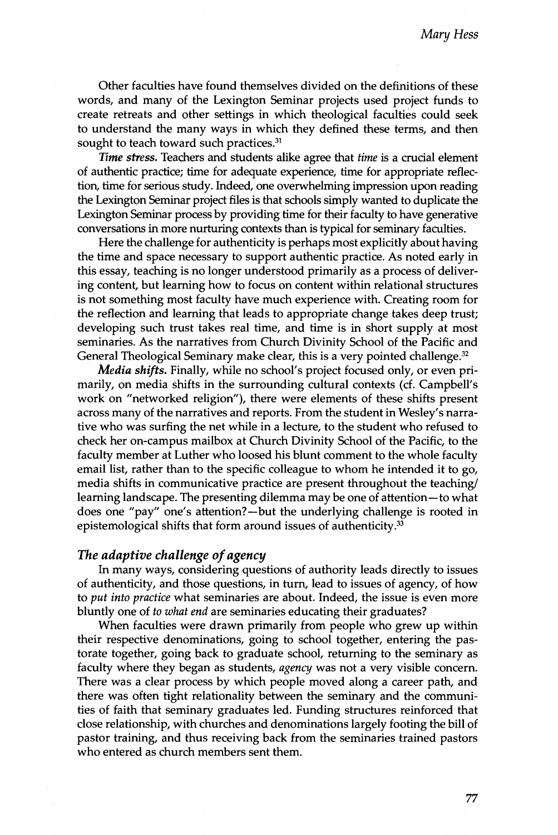Other faculties have found themselves divided on the definitions of these words, and many of the Lexington Seminar projects used project funds to create retreats and other settings in which theological faculties could seek to understand the many ways in which they defined these terms, and then sought to teach toward such practices. $31$ 

*Time stress*. Teachers and students alike agree that *time* is a crucial element of authentic practice; time for adequate experience, time for appropriate reflection, time for serious study. Indeed, one overwhelming impression upon reading the Lexington Seminar project files is that schools simply wanted to duplicate the Lexington Seminar process by providing time for their faculty to have generative conversations in more nurturing contexts than is typical for seminary faculties.

Here the challenge for authenticity is perhaps most explicitly about having the time and space necessary to support authentic practice. As noted early in this essay, teaching is no longer understood primarily as a process of deliver־ ing content, but learning how to focus on content within relational structures is not something most faculty have much experience with. Creating room for the reflection and learning that leads to appropriate change takes deep trust; developing such trust takes real time, and time is in short supply at most seminaries. As the narratives from Church Divinity School of the Pacific and General Theological Seminary make clear, this is a very pointed challenge.<sup>32</sup>

*Media shifts.* Finally, while no school's project focused only, or even primarily, on media shifts in the surrounding cultural contexts (cf. Campbell's work on "networked religion"), there were elements of these shifts present across many of the narratives and reports. From the student in Wesley's narrative who was surfing the net while in a lecture, to the student who refused to check her on-campus mailbox at Church Divinity School of the Pacific, to the faculty member at Luther who loosed his blunt comment to the whole faculty email list, rather than to the specific colleague to whom he intended it to go, media shifts in communicative practice are present throughout the teaching/ learning landscape. The presenting dilemma may be one of attention—to what does one "pay" one's attention?—but the underlying challenge is rooted in epistemological shifts that form around issues of authenticity.<sup>33</sup>

#### *The adaptive challenge ofagency*

In many ways, considering questions of authority leads directly to issues of authenticity, and those questions, in turn, lead to issues of agency, of how to *put into practice* what seminaries are about. Indeed, the issue is even more bluntly one of *to what end* are seminaries educating their graduates?

When faculties were drawn primarily from people who grew up within their respective denominations, going to school together, entering the pastorate together, going back to graduate school, returning to the seminary as faculty where they began as students, *agency* was not a very visible concern. There was a clear process by which people moved along a career path, and there was often tight relationality between the seminary and the communities of faith that seminary graduates led. Funding structures reinforced that close relationship, with churches and denominations largely footing the bill of pastor training, and thus receiving back from the seminaries trained pastors who entered as church members sent them.

**77**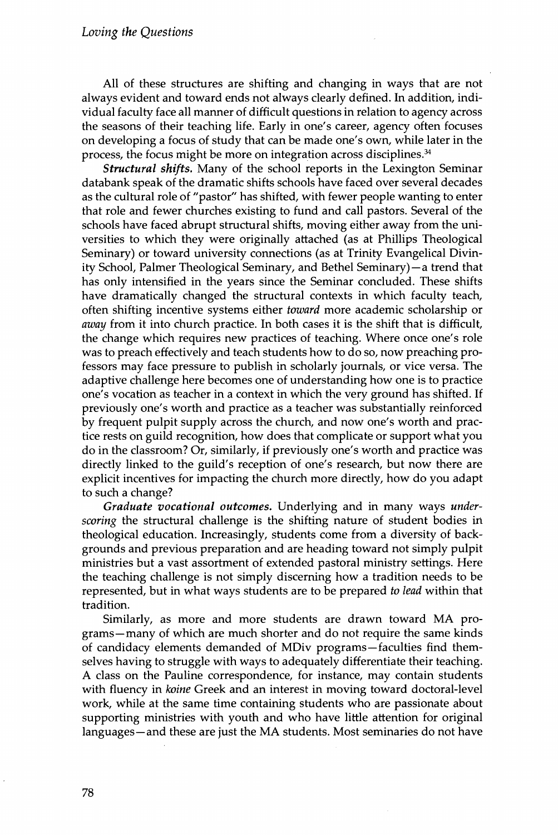All of these structures are shifting and changing in ways that are not always evident and toward ends not always clearly defined. In addition, individual faculty face all manner of difficult questions in relation to agency across the seasons of their teaching life. Early in one's career, agency often focuses on developing a focus of study that can he made one's own, while later in the process, the focus might be more on integration across disciplines. $34$ 

*Structural shifts***٠** Many of the school reports in the Lexington Seminar databank speak of the dramatic shifts schools have faced over several decades as the cultural role of "pastor" has shifted, with fewer people wanting to enter that role and fewer churches existing to fund and call pastors. Several of the schools have faced abrupt structural shifts, moving either away from the universities to which they were originally attached (as at Phillips Theological Seminary) or toward university connections (as at Trinity Evangelical Divinity School, Palmer Theological Seminary, and Bethel Seminary)—a trend that has only intensified in the years since the Seminar concluded. These shifts have dramatically changed the structural contexts in which faculty teach, often shifting incentive systems either *toward* more academic scholarship or *away* from it into church practice. In both cases it is the shift that is difficult, the change which requires new practices of teaching. Where once one's role was to preach effectively and teach students how to do so, now preaching professors may face pressure to publish in scholarly journals, or vice versa. The adaptive challenge here becomes one of understanding how one is to practice one's vocation as teacher in a context in which the very ground has shifted. If previously one's worth and practice as a teacher was substantially reinforced by frequent pulpit supply across the church, and now one's worth and practice rests on guild recognition, how does that complicate or support what you do in the classroom? Or, similarly, if previously one's worth and practice was directly linked to the guild's reception of one's research, but now there are explicit incentives for impacting the church more directly, how do you adapt to such a change?

*Graduate vocational outcomes*. Underlying and in many ways *underscoring* the structural challenge is the shifting nature of student bodies in theological education. Increasingly, students come from a diversity of backgrounds and previous preparation and are heading toward not simply pulpit ministries but a vast assortment of extended pastoral ministry settings. Here the teaching challenge is not simply discerning how a tradition needs to be represented, but in what ways students are to be prepared *to lead* within that tradition.

Similarly, as more and more students are drawn toward MA programs—many of which are much shorter and do not require the same kinds of candidacy elements demanded of MDiv programs-faculties find themselves having to struggle with ways to adequately differentiate their teaching. A class on the Pauline correspondence, for instance, may contain students with fluency in *koine* Greek and an interest in moving toward doctoral-level work, while at the same time containing students who are passionate about supporting ministries with youth and who have little attention for original languages—and these are just the MA students. Most seminaries do not have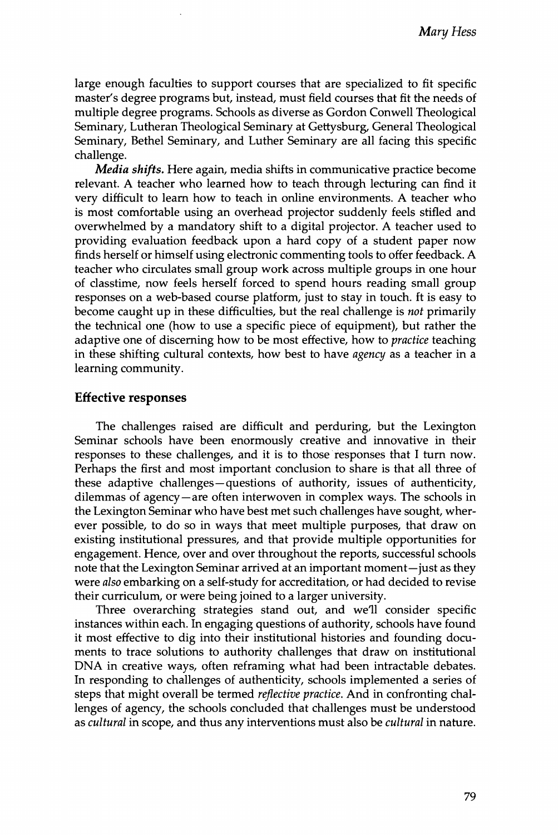large enough faculties to support courses that are specialized to fit specific master's degree programs but, instead, must field courses that fit the needs of multiple degree programs. Schools as diverse as Gordon Conwell Theological Seminary, Lutheran Theological Seminary at Gettysburg, General Theological Seminary, Bethel Seminary, and Luther Seminary are all facing this specific challenge.

*Media shifts.* Here again, media shifts in communicative practice become relevant. A teacher who learned how to teach through lecturing can find it very difficult to learn how to teach in online environments. A teacher who is most comfortable using an overhead projector suddenly feels stifled and overwhelmed by a mandatory shift to a digital projector. A teacher used to providing evaluation feedback upon a hard copy of a student paper now finds herself or himself using electronic commenting tools to offer feedback. A teacher who circulates small group work across multiple groups in one hour of classtime, now feels herself forced to spend hours reading small group responses on a web-based course platform, just to stay in touch, ft is easy to become caught up in these difficulties, but the real challenge is *not* primarily the technical one (how to use a specific piece of equipment), but rather the adaptive one of discerning how to be most effective, how to *practice* teaching in these shifting cultural contexts, how best to have *agency* as a teacher in a learning community.

#### **Effective responses**

The challenges raised are difficult and perduring, but the Lexington Seminar schools have been enormously creative and innovative in their responses to these challenges, and it is to those responses that 1 turn now. Perhaps the first and most important conclusion to share is that all three of these adaptive challenges—questions of authority, issues of authenticity, dilemmas of agency—are often interwoven in complex ways. The schools in the Lexington Seminar who have best met such challenges have sought, wherever possible, to do so in ways that meet multiple purposes, that draw on existing institutional pressures, and that provide multiple opportunities for engagement. Hence, over and over throughout the reports, successful schools note that the Lexington Seminar arrived at an important moment—just as they were *also* embarking on a self-study for accreditation, or had decided to revise their curriculum, or were being joined to a larger university.

Three overarching strategies stand out, and we'll consider specific instances within each. In engaging questions of authority, schools have found it most effective to dig into their institutional histories and founding documents to trace solutions to authority challenges that draw on institutional DNA in creative ways, often reframing what had been intractable debates. In responding to challenges of authenticity, schools implemented a series of steps that might overall be termed *reflective practice.* And in confronting challenges of agency, the schools concluded that challenges must be understood as *cultural* in scope, and thus any interventions must also be *cultural* in nature.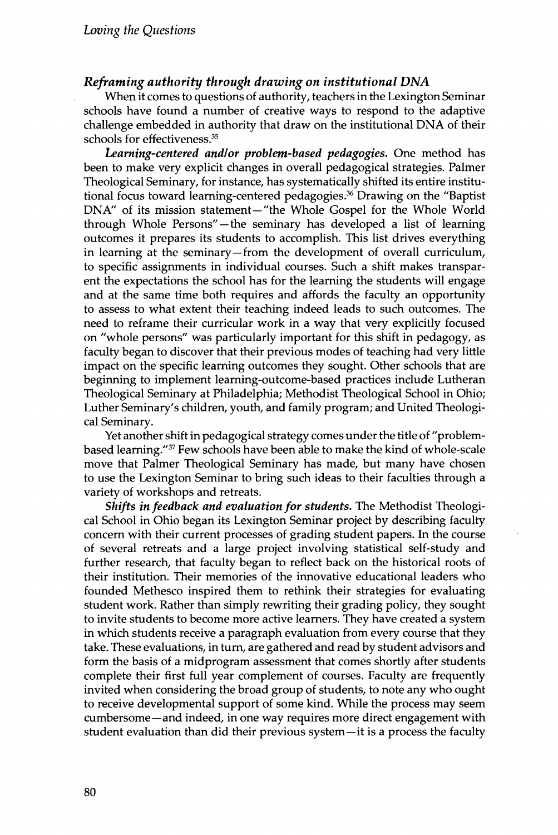#### *Reframing authority through drawing on institutional DNA*

When it comes to questions of authority, teachers in the Lexington Seminar schoois have found a number of creative ways to respond to the adaptive challenge embedded in authority that draw on the institutional DNA of their schools for effectiveness.<sup>35</sup>

*Learning-centered and/or problem-based pedagogies.* One method has been to make very explicit changes in overall pedagogical strategies. Palmer Theological Seminary, for instance, has systematically shifted its entire institutional focus toward learning-centered pedagogies.<sup>36</sup> Drawing on the "Baptist DNA" of its mission statement-"the Whole Gospel for the Whole World through Whole Persons"—the seminary has developed a list of learning outcomes it prepares its students to accomplish. This list drives everything in learning at the seminary—from the development of overall curriculum, to specific assignments in individual courses. Such a shift makes transparent the expectations the school has for the learning the students will engage and at the same time both requires and affords the faculty an opportunity to assess to what extent their teaching indeed leads to such outcomes. The need to reframe their curricular work in a way that very explicitly focused on "whole persons" was particularly important for this shift in pedagogy, as faculty began to discover that their previous modes of teaching had very little impact on the specific learning outcomes they sought. Other schools that are beginning to implement learning-outcome-based practices include Lutheran Theological Seminary at Philadelphia; Methodist Theological School in Ohio; Luther Seminary's children, youth, and family program; and United Theological Seminary.

Yet another shift in pedagogical strategy comes under the title of "problembased learning."<sup>37</sup> Few schools have been able to make the kind of whole-scale move that Palmer Theological Seminary has made, but many have chosen to use the Lexington Seminar to bring such ideas to their faculties through a variety of workshops and retreats.

*Shifts in feedback and evaluation for students*. The Methodist Theological School in ©hio began its Lexington Seminar project by describing faculty concern with their current processes of grading student papers. In the course of several retreats and a large project involving statistical self-study and further research, that faculty began to reflect back on the historical roots of their institution. Their memories of the innovative educational leaders who founded Methesco inspired them to rethink their strategies for evaluating student work. Rather than simpty rewriting their grading policy, they sought to invite students to become more active learners. They have created a system in which students receive a paragraph evaluation from every course that they take. These evaluations, in turn, are gathered and read by student advisors and form the basis of a midprogram assessment that comes shortly after students complete their first full year complement of courses. Faculty are frequently invited when considering the broad group of students, to note any who ought to receive developmental support of some kind. While the process may seem cumbersome—and indeed, in one way requires more direct engagement with student evaluation than did their previous system—it is a process the faculty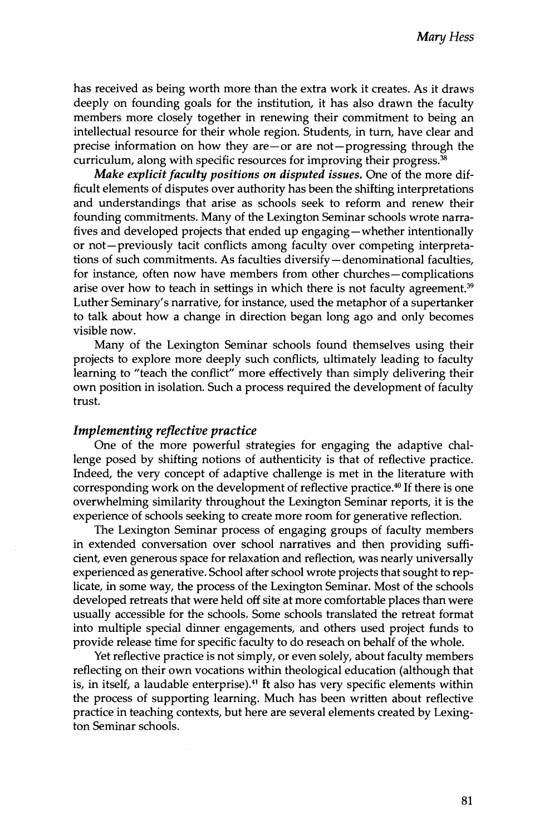has received as being worth more than the extra work it creates. As it draws deeply on founding goals for the institution, it has also drawn the faculty members more closely together in renewing their commitment to being an intellectual resource for their whole region. Students, in turn, have clear and precise information on how they are $-$  or are not $-$ progressing through the curriculum, along with specific resources for improving their progress. $^{38}$ 

*Make explicit faculty positions on disputed issues.* One of the more difficult elements of disputes over authority has been the shifting interpretations and understandings that arise as schools seek to reform and renew their founding commitments. Many of the Lexington Seminar schools wrote narrafives and developed projects that ended up engaging—whether intentionally or not—previously tacit conflicts among faculty over competing interpretafions of such commitments. As faculties diversify—denominational faculties, for instance, often now have members from other churches—complications arise over how to teach in settings in which there is not faculty agreement.<sup>39</sup> Luther Seminary's narrative, for instance, used the metaphor of a supertanker to talk about how a change in direction began long ago and only becomes visible now.

Many of the Lexington Seminar schools found themselves using their projects to explore more deeply such conflicts, ultimately leading to faculty learning to "teach the conflict" more effectively than simply delivering their own position in isolation. Such a process required the development of faculty trust.

#### *Implementing reflective practice*

One of the more powerful strategies for engaging the adaptive challenge posed by shifting notions of uthenticity is that of reflective practice. Indeed, the very concept of adaptive challenge is met in the literature with corresponding work on the development of reflective practice.<sup>40</sup> If there is one overwhelming similarity throughout the Lexington Seminar reports, it is the experience of schools seeking to create more room for generative reflection.

The Lexington Seminar process of engaging groups of faculty members in extended conversation over school narratives and then providing sufficient, even generous space for relaxation and reflection, was nearly universally experienced as generative. School after school wrote projects that sought to replicate, in some way, the process of the Lexington Seminar. Most of the schools developed retreats that were held off site at more comfortable places than were usually accessible for the schools. Some schools translated the retreat format into multiple special dinner engagements, and others used project funds to provide release time for specific faculty to do reseach on behalf of the whole.

Yet reflective practice is not simply, or even solely, about faculty members reflecting on their own vocations within theological education (although that is, in itself, a laudable enterprise). $41$  It also has very specific elements within the process of supporting learning. Much has been written about reflective practice in teaching contexts, but here are several elements created by Lexington Seminar schools.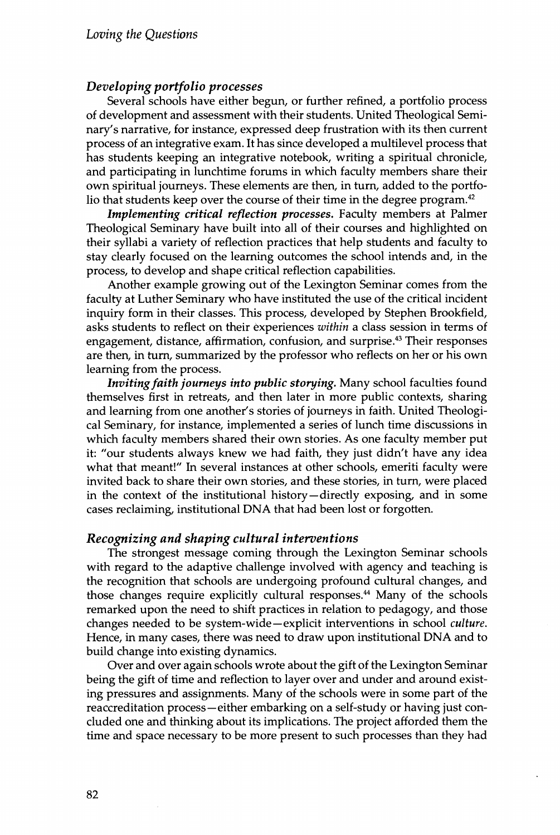#### *Developing portfolio processes*

Several schools have either begun, or further refined, a portfolio process of development and assessment with their students. United Theological Seminary's narrative, for instance, expressed deep frustration with its then current process of an integrative exam. It has since developed a multilevel process that has students keeping an integrative notebook, writing a spiritual chronicle, and participating in lunchtime forums in which faculty members share their own spiritual journeys. These elements are then, in turn, added to the portfolio that students keep over the course of their time in the degree program. $^{42}$ 

*Implementing critical reflection processes*. Faculty members at Palmer Theological Seminary have built into all of their courses and highlighted on their syllabi a variety of reflection practices that help students and faculty to stay clearly focused on the learning outcomes the school intends and, in the process, to develop and shape critical reflection capabilities.

Another example growing out of the Lexington Seminar comes from the faculty at Luther Seminary who have instituted the use of the critical incident inquiry form in their classes. This process, developed by Stephen Brookfield, asks students to reflect on their experiences *within* a class session in terms of engagement, distance, affirmation, confusion, and surprise.<sup>43</sup> Their responses are then, in turn, summarized by the professor who reflects on her or his own learning from the process.

*Inviting faith journeys into public storying.* Many school faculties found themselves first in retreats, and then later in more public contexts, sharing and learning from one another's stories of journeys in faith. United Theological Seminary, for instance, implemented a series of lunch time discussions in which faculty members shared their own stories. As one faculty member put it: "our students always knew we had faith, they just didn't have any idea what that meant!" In several instances at other schools, emeriti faculty were invited back to share their own stories, and these stories, in turn, were placed in the context of the institutional history—directly exposing, and in some cases reclaiming, institutional DNA that had been lost or forgotten.

#### *Recognizing and shaping cultural interventions*

The strongest message coming through the Lexington Seminar schools with regard to the adaptive challenge involved with agency and teaching is the recognition that schools are undergoing profound cultural changes, and those changes require explicitly cultural responses.<sup>44</sup> Many of the schools remarked upon the need to shift practices in relation to pedagogy, and those changes needed to be system-wide—explicit interventions in school *culture.* Hence, in many cases, there was need to draw upon institutional DNA and to build change into existing dynamics.

Over and over again schools wrote about the gift of the Lexington Seminar being the gift of time and reflection to layer over and under and around existing pressures and assignments. Many of the schools were in some part of the reaccreditation process—either embarking on a self-study or having just coneluded one and thinking about its implications. The project afforded them the time and space necessary to be more present to such processes than they had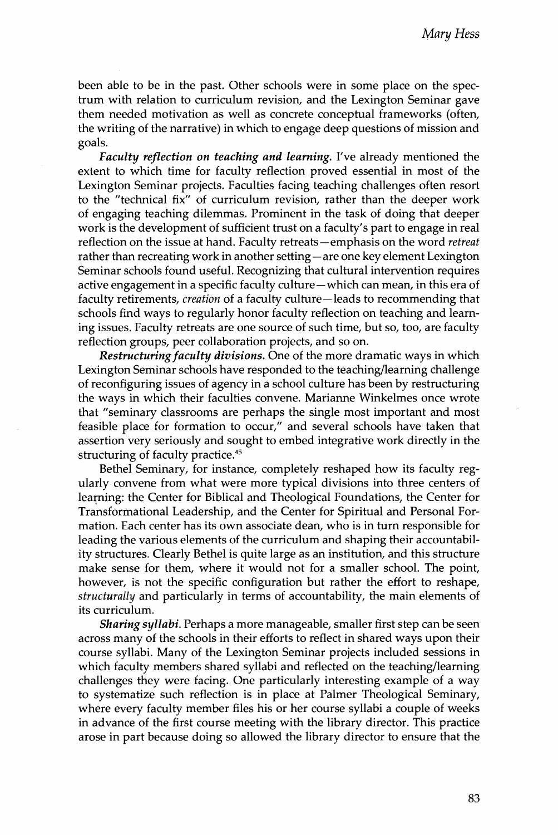been able to be in the past. Other schools were in some place on the spectrum with relation to curriculum revision, and the Lexington Seminar gave them needed motivation as well as concrete conceptual frameworks (often, the writing of the narrative) in which to engage deep questions of mission and goals.

*Faculty reflection on teaching and learning*. I've already mentioned the extent to which time for faculty reflection proved essential in most of the Lexington Seminar projects. Faculties facing teaching challenges often resort to the "technical fix" of curriculum revision, rather than the deeper work of engaging teaching dilemmas. Frominent in the task of doing that deeper work is the development of sufficient trust on a faculty's part to engage in real reflection on the issue at hand. Faculty retreats—emphasis on the word *retreat* rather than recreating work in another setting—are one key element Lexington Seminar schools found useful. Recognizing that cultural intervention requires active engagement in a specific faculty culture—which can mean, in this era of faculty retirements, *creation* of a faculty culture-leads to recommending that schools find ways to regularly honor faculty reflection on teaching and learning issues. Faculty retreats are one source of such time, but so, too, are faculty reflection groups, peer collaboration projects, and so on.

Restructuring faculty divisions. One of the more dramatic ways in which Lexington Seminar schools have responded to the teaching/learning challenge of reconfiguring issues of agency in a school culture has been by restructuring the ways in which their faculties convene. Marianne Winkelmes once wrote that "seminary classrooms are perhaps the single most important and most feasible place for formation to occur," and several schools have taken that assertion very seriously and sought to embed integrative work directly in the structuring of faculty practice.<sup>45</sup>

Bethel Seminary, for instance, completely reshaped how its faculty regularly convene from what were more typical divisions into three centers of learning: the Center for Biblical and Theological Foundations, the Center for Transformational Leadership, and the Center for Spiritual and Fersonal Formation. Each center has its own associate dean, who is in turn responsible for leading the various elements of the curriculum and shaping their accountability structures. Clearly Bethel is quite large as an institution, and this structure make sense for them, where it would not for a smaller school. The point, however, is not the specific configuration but rather the effort to reshape, *structurally* and particularly in terms of accountability, the main elements of its curriculum.

*Sharing syllabi.* Ferhaps a more manageable, smaller first step can be seen across many of the schools in their efforts to reflect in shared ways upon their course syllabi. Many of the Lexington Seminar projects included sessions in which faculty members shared syllabi and reflected on the teaching/learning challenges they were facing. One particularly interesting example of a way to systematize such reflection is in place at Falmer Theological Seminary, where every faculty member files his or her course syllabi a couple of weeks in advance of the first course meeting with the library director. This practice arose in part because doing so allowed the library director to ensure that the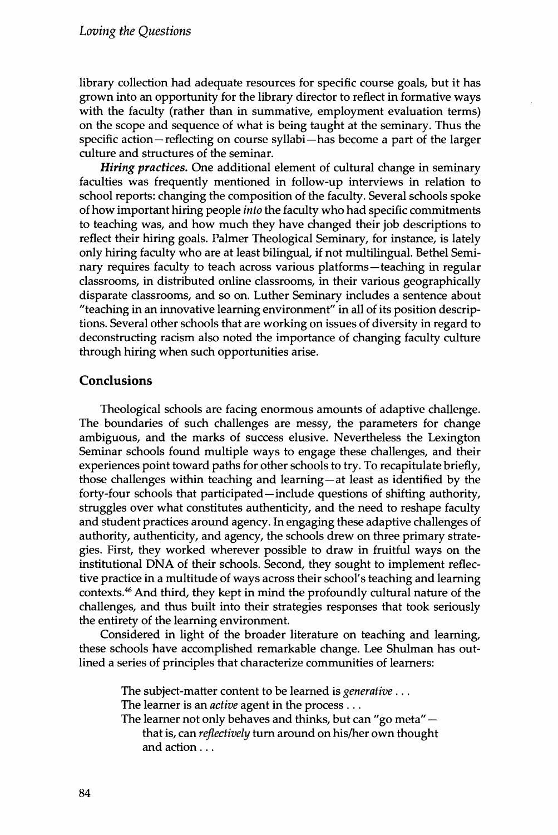library collection had adequate resources for specific course goals, but it has grown into an opportunity for the library director to reflect in formative ways with the faculty (rather than in summative, employment evaluation terms) on the scope and sequence of what is being taught at the seminary. Thus the specific action-reflecting on course syllabi-has become a part of the larger culture and structures of the seminar.

*Hiring practices***٠** One additional element of cultural change in seminary faculties was frequently mentioned in follow-up interviews in relation to school reports: changing the composition of the faculty. Several schools spoke of how important hiring people *into* the faculty who had specific commitments to teaching was, and how much they have changed their job descriptions to reflect their hiring goals. Palmer Theological Seminary, for instance, is lately only hiring faculty who are at least bilingual, if not multilingual. Bethel Seminary requires faculty to teach across various platforms—teaching in regular classrooms, in distributed online classrooms, in their various geographically disparate classrooms, and so on. Luther Seminary includes a sentence about "teaching in an innovative learning environment" in all of its position descriptions. Several other schools that are working on issues of diversity in regard to deconstructing racism also noted the importance of changing faculty culture through hiring when such opportunities arise.

#### **Conclusions**

Theological schools are facing enormous amounts of adaptive challenge. The boundaries of such challenges are messy, the parameters for change ambiguous, and the marks of success elusive. Nevertheless the Lexington Seminar schools found multiple ways to engage these challenges, and their experiences point toward paths for other schools to try. To recapitulate briefly, those challenges within teaching and learning—at least as identified by the forty-four schools that participated—include questions of shifting authority, struggles over what constitutes authenticity, and the need to reshape faculty and student practices around agency. In engaging these adaptive challenges of authority, authenticity, and agency, the schools drew on three primary strategies. First, they worked wherever possible to draw in fruitful ways on the institutional DNA of their schools. Second, they sought to implement reflective practice in a multitude of ways across their school's teaching and learning contexts.<sup>46</sup> And third, they kept in mind the profoundly cultural nature of the challenges, and thus built into their strategies responses that took seriously the entirety of the learning environment.

Considered in light of the broader literature on teaching and learning, these schools have accomplished remarkable change. Lee Shulman has outlined a series of principles that characterize communities of learners:

> The subject-matter content to be learned is *generative* . . . The learner is an *active* agent in the process . . .

The learner not only behaves and thinks, but can "go meta" that is, can *reflectively* turn around on his/her own thought and action . . .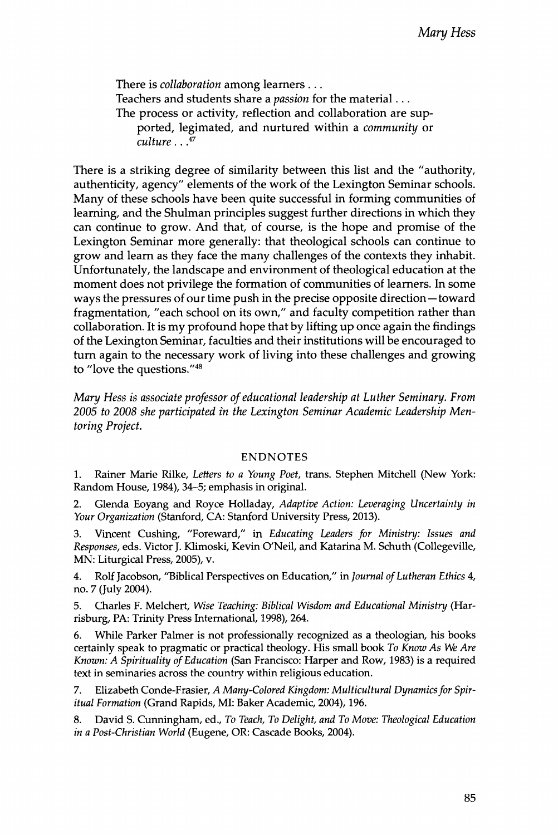There is *collaboration* among learners . . . Teachers and students share a *passion* for the material... The process or activity, reflection and collaboration are supported, legimated, and nurtured within a *community* or *culture*.. .47

There is a striking degree of similarity between this list and the "authority, authenticity, agency" elements of the work of the Lexington Seminar schools. Many of these schools have been quite successful in forming communities of learning, and the Shulman principles suggest further directions in which they can continue to grow. And that, of course, is the hope and promise of the Lexington Seminar more generally: that theological schools can continue to grow and learn as they face the many challenges of the contexts they inhabit. Unfortunately, the landscape and environment of theological education at the moment does not privilege the formation of communities of learners. In some ways the pressures of our time push in the precise opposite direction—toward fragmentation, "each school on its own," and faculty competition rather than collaboration. It is my profound hope that by lifting up once again the findings of foe Lexington Seminar, faculties and their institutions will be encouraged to turn again to the necessary work of living into these challenges and growing to "love the questions."<sup>48</sup>

*Mary Hess is associate professor ofeducational leadership at Luther Seminary. From 2005 to 2008 she participated in the Lexington Seminar Academic Leadership Mentoring Project.*

#### **ENDNOTES**

1. Rainer Marie Rilke, *Letters to a Young Poet,* trans. Stephen Mitchell (New York: Random House, 1984), 34-5; emphasis in original.

2. Glenda Eoyang and Royce Holladay, *Adaptive Action: Leveraging Uncertainty in Your Organization* (Stanford, CA: Stanford University Press, 2013).

3. Vincent Cushing, "Foreward," in *Educating Leaders for Ministry: Issues and Responses*, eds. Victor j. Klimoski, Kevin O'Neil, and Katarina M. Schuth ((follegeville, MN: Liturgical Press, 2005), v.

4. Rolf Jacobson, "Biblical Perspectives on Education," in *Journal ofLutheran Ethics* 4, no.7(July2004).

5. Charles F. Melchert, *Wise Leaching: Biblical Wisdom and Educational Ministry* (Harrisburg, PA: Trinity Press International, 1998), 264.

6. While Parker Palmer is not professionally recognized as a theologian, his books certainly speak to pragmatic or practical theology. His small book *To Know As We Are* Known: A Spirituality of Education (San Francisco: Harper and Row, 1983) is a required text in seminaries across the country within religious education.

7. Elizabeth Conde-Frasier, *A Many-Colored Kingdom: Multicultural Dynamics for Spiritual Formation* (Grand Rapids, MI: Baker Academic, 2004), 196.

8. David S. Cunningham, ed.. *To Teach, To Delight, and To Move: Theological Education in a Post-Christian World* (Eugene, OR: Cascade Books, 2004).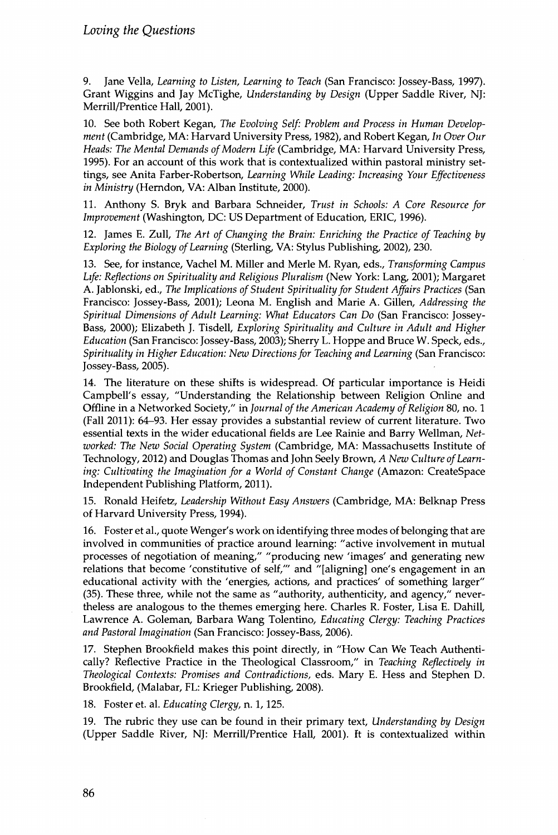9. Jane Vella, *Learning to Listen, Learning to Teach* (San Francisco: Jossey-Bass, 1997). Grant Wiggins and Jay McTighe, *Understanding by Design* (Upper Saddle River, NJ: Merrill/Prentice Hall, 2001).

10. See both Robert Kegan, *The Evolving Self: Problem and Process in Human Development* (Cambridge, MA: Harvard University Press, 1982), and Robert Kegan, *In Over Our* Heads: The Mental Demands of Modern Life (Cambridge, MA: Harvard University Press, 1995). For an account of this work that is contextualized within pastoral ministry settings, see Anita Farber-Robertson, *Learning While Leading: Increasing Your Effectiveness in Ministry* (Herndon, VA: Alban Institute, 2000).

H. Anthony **s.** Bryk and Barbara Schneider, *Trust in Schools: A Core Resource for Improvement* (Washington, DC: US Department of Education, ERIC, 1996).

12. James E. Zull, *The AH of Changing the Brain: Enriching the Practice of Teaching by Exploring the Biology of Learning* (Sterling, VA: Stylus Publishing, 2002), 230.

**13.** See, for instance, Vachel M. Miller and Merle M. Ryan, eds.. *Transforming Campus Life: Reflections on Spirituality and Religious Pluralism* (New York: Lang, **2001);** Margaret A. Jabionski, ed., *The Implications ofstudent Spirituality for Student Affairs Practices* (San Francisco: Jossey-Bass, **2001);** Leona M. English and Marie A. Gillen, *Addressing the Spiritual Dimensions of Adult Learning: What Educators Can Do* (San Francisco: Jossey-Bass, **2000);** Elizabeth j. Tisdell, *Exploring Spirituality and Culture in Adult and Higher Education* (San Francisco: Jossey-Bass, **2003);** Sherry L. Hoppe and Bruce **w.** speck, eds., *Spirituality in Higher Education: New Directionsfor Teaching and Learning* (San Francisco: Jossey-Bass, **2005).**

14. The literature on these shifts is widespread. Of particular importance is Heidi Campbell's essay, "Understanding the Relationship between Religion Online and Offline in a Networked Society," in *Journal of the American Academy of Religion* 80, no. 1 (Fall 2011): 64-93. Her essay provides a substantial review of current literature. Two essential texts in the wider educational fields are Lee Rainie and Barry Wellman, *Networked: The New Social Operating System* (Cambridge, MA: Massachusetts Institute of Technology, 2012) and Douglas Thomas and John Seely Brown, *A New Culture of Learning: Cultivating the Imagination for a World of Constant Change* (Amazon: CreateSpace Independent Publishing Platform, 2011).

15. Ronald Heffete, *Leadership Without Easy Answers* (Cambridge, MA: Belknap Press of Harvard University Press, 1994).

16. Foster et al., quote Wenger's work on identifying three modes of belonging that are involved in communities of practice around learning: "active involvement in mutual processes of negotiation of meaning," "producing new 'images' and generating new relations that become 'constitutive of self,"' and "[aligning] one's engagement in an educational activity with the 'energies, actions, and practices' of something larger" (35). These three, while not the same as "authority, authenticity, and agency," nevertheless are analogous to the themes emerging here. Charles R. Foster, Lisa E. Dahill, Lawrence A. Goleman, Barbara Wang Tolentino, *Educating Clergy: Teaching Practices and Pastoral Imagination* (San Francisco: Jossey-Bass, 2006).

17. Stephen Brookfield makes this point directly, in "How Can We Teach Authentically? Reflective Practice in the Theological Classroom," in *Teaching Reflectively in Theological Contexts: Promises and Contradictions,* eds. Mary E. Hess and Stephen D. Brookfield, (Malabar, FL: Krieger Publishing, 2008).

18. Foster et. al. *Educating Clergy,* n. 1,125.

19. The rubric they use can be found in their primary text, *Understanding by Design* (Upper Saddle River, NJ: Merrill/Prentice Hall, 2001). ft is contextualized within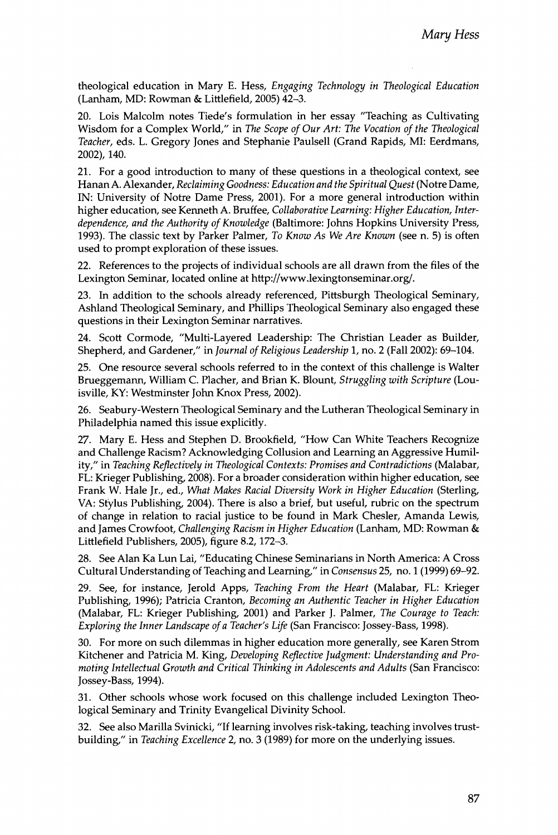theological **ed u ca tio n** in Mary **E.** Hess, *Engaging Technology in Theological Education* (Lanham, MD: Rowman & Littlefield, 2005) 42-3.

20. Lois Malcolm notes Tiede's formulation in her essay "Teaching as Cuitivating Wisdom for a Complex World," in *The Scope of Our Art: The Vocation of the Theological* Teacher, eds. L. Gregory Jones and Stephanie Paulsell (Grand Rapids, MI: Eerdmans, 2002), 140.

21. For a good introduction to many of these questions in a theological context, see Hanan A. Alexander, *Reclaiming Goodness: Education and the Spiritual Quest* (Notre Dame, IN: University of Notre Dame Press, 2001). For a more general introduction within higher education, see Kenneth A. Bruffee, *Collaborative Learning: Higher Education, Interdependence, and the Authority of Knowledge* (Baltimore: Johns Hopkins University Press, 1993). The classic text by Parker Palmer, *To Know As We Are Known* (see n. 5) is often used to prompt exploration of these issues.

22. References to the projects of individual schools are all drawn from the files of the Lexington Seminar, located online at http://www.lexingtonseminar.org/.

23. In addition to the schools already referenced, Pittsburgh Theological Seminary, Ashland Theological Seminary, and Phillips Theological Seminary also engaged these questions in their Lexington Seminar narratives.

24. Scott Cormode, "Multi-Layered Leadership: The Christian Leader as Builder, Shepherd, and Gardener," in *Journal of Religious Leadership* 1, no. 2 (Fall 2002): 69-104.

25. One resource several schools referred to in the context of this challenge is Walter Brueggemann, William **c.** Placher, and Brian K. Blount, *Struggling with Scripture* (Louisville, KY: Westminster John Knox Press, 2002).

26. Seabury-Western Theological Seminary and the Lutheran Theological Seminary in Philadelphia named this issue explicitly.

27. Mary E. Hess and Stephen D. Brookfield, "How Can White Teachers Recognize and Challenge Racism? Acknowledging Collusion and Learning an Aggressive Humility," in *Teaching Reflectively in Theological Contexts: Promises and Contradictions* (Malabar, FL: Krieger Publishing, 2008). For a broader consideration within higher education, see Frank **w.** Hale Jr., ed., **سس** *Makes Racial Diversity Work in Higher Education* (Sterling, VA: Stylus Publishing, 2004). There is also a brief, but useful, rubric on the spectrum of change in relation to racial justice to be found in Mark Chesler, Amanda Lewis, and James Crowfoot, *Challenging Racism in Higher Education* (Lanham, MD: Rowman & Littlefield Publishers, 2005), figure 8.2,172-3.

28. See Alan Ka Lun Lai, "Educating Chinese Seminarians in North America: A Cross Cultural Understanding of Teaching and Learning," in *Consensus* 25, no. 1 (1999) 69-92.

29. See, for instance, Jerold Apps, *Teaching From the Heart* (Malabar, FL: Krieger Publishing, 1996); Patricia Cranton, *Becoming an Authentic Teacher in Higher Education* (Malabar, FL: Krieger Publishing, 2001) and Parker *١.* Palmer, *The Courage to Teach: Exploring the Inner Landscape ofa Teacher's Life* (San Francisco: Jossey-Bass, 1998).

30. For more on such dilemmas in higher education more generally, see Karen Strom Kitchener and Patricia M. King, *Developing Reflective Judgment: Understanding and Promoting Intellectual Growth and Critical Thinking in Adolescents and Adults* (San Francisco: Jossey-Bass, 1994).

31. Other schools whose work focused on this challenge included Lexington Theological Seminary and Trinity Evangelical Divinity School.

32. See also Marilla Svinicki, *"If* learning involves risk-taking, teaching involves trustbuilding," in *Teaching Excellence* 2, no. 3 (1989) for more on the underlying issues.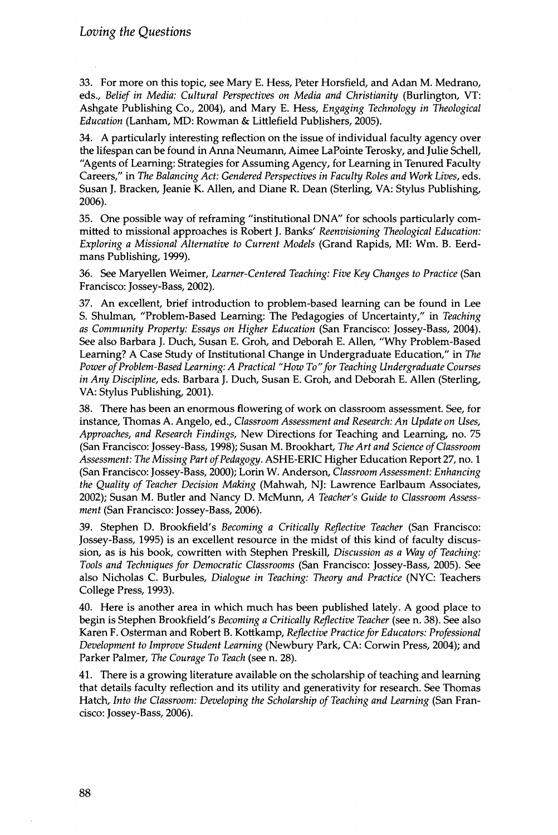33. For more on this topic, see Mary E. Hess, Feter Horsfield, and Adan M. Medrano, eds., *Belief in Media: Cultural Perspectives on Media and Christianity* (Burlington, VT: Ashgate Publishing Co., 2004), and Mary E. Hess, *Engaging Technology in Theological Education* (Lanham, MD: Rowman & Littlefield Publishers, 2005).

34. A particularly interesting reflection on the issue of individual faculty agency over the lifespan can be found in Anna Neumann, Aimee LaPointe Terosky, and Julie Schell, "Agents of Learning: Strategies for Assuming Agency, for Learning in Tenured Faculty Careers," in *The Balancing Act: Gendered Perspectives in Faculty Roles and Work Lives*, eds. Susan j. Bracken, Jeanie K. Allen, and Diane R. Dean (Sterling, VA: Stylus Publishing, 2006).

35. One possible way of reframing "institutional DNA" for schools particularly committed to missional approaches is Robert j. Banks' *Reenvisioning Theological Education: Exploring a Missional Alternative to Current Models* (Grand Rapids, ML Wm. B. Eerdmans Publishing, 1999).

36. See Maryellen Weimer, *Learner-Centered Teaching: Five Key Changes to Practice* (San Francisco: Jossey-Bass, 2002).

37. An excellent, brief introduction to problem-based learning can be found in Lee S. Shulman, "Problem-Based Learning: The Pedagogies of Uncertainty," in *Teaching as Community Property: Essays on Higher Education* (San Francisco: Jossey-Bass, 2004). See also Barbara j. Duch, Susan E. Groh, and Deborah E. Allen, "Why Problem-Based Learning? A Case Study of Institutional Change in Undergraduate Education," in *The* Power of Problem-Based Learning: A Practical "How To" for Teaching Undergraduate Courses *in Any Discipline*, eds. Barbara j. Duch, Susan E. Groh, and Deborah E. Allen (Sterling, VA: Stylus Publishing, 2001).

38. There has been an enormous flowering of work on classroom assessment. See, for instance, Thomas A. Angelo, ed.. *Classroom Assessment and Research: An Update on Uses*, *Approaches*, *and Research Findings*, New Directions for Teaching and Learning, no. 75 (San Francisco: Jossey-Bass, 1998); Susan M. Brookhart, *The Art and Science ofClassroom Assessment: The Missing Part of Pedagogy. ASHE-ERIC Higher Education Report 27, no. 1* (San Francisco: Jossey-Bass, 2000); Lorin w. Anderson, *Classroom Assessment: Enhancing the Quality of Teacher Decision Making* (Mahwah, NJ: Lawrence Earlbaum Associates, 2002); Susan M. Butler and Nancy D. McMunn, *A Teacher's Guide to Classroom Assessment* (San Francisco: Jossey-Bass, 2006).

39. Stephen D. Brookfield's *Becoming a Critically Reflective Teacher* (San Francisco: Jossey-Bass, 1995) is an excellent resource in the midst of this kind of faculty discussion, as is his book, cowritten with Stephen Preskill, *Discussion as a Way of Teaching: Tools and Techniques for Democratic Classrooms* (San Francisco: Jossey-Bass, 2005). See also Nicholas **c.** Burbules, *Dialogue in Teaching: Theory and Practice* (NYC: Teachers College Press, 1993).

40. Here is another area in which much has been published lately. A good place to begin is Stephen Brookfield's *Becoming a Critically Reflective Teacher* (see n. 38). See also Karen F. Osterman and Robert B. Kottkamp, *Reflective Practicefor Educators: Professional Development to Improve Student Learning* (Newbury Park, CA: Corwin Press, 2004); and Parker Palmer, *The Courage To Teach* (see n. 28).

41. There is a growing literature available on the scholarship of teaching and learning that details faculty reflection and its utility and generativity for research. See Thomas Hatch, *Into the Classroom: Developing the Scholarship of Teaching and Learning* (San Francisco: Jossey-Bass, 2006).